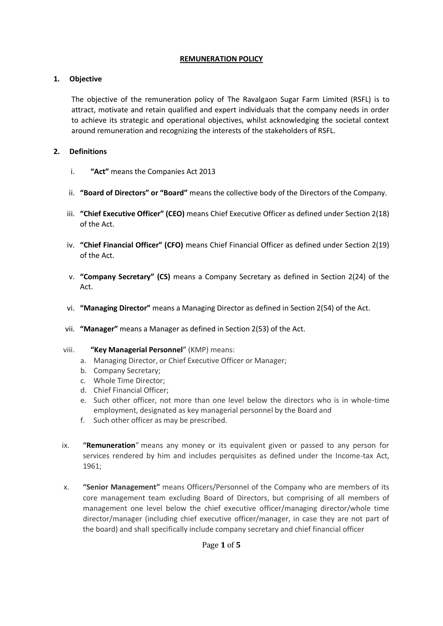### **REMUNERATION POLICY**

# **1. Objective**

The objective of the remuneration policy of The Ravalgaon Sugar Farm Limited (RSFL) is to attract, motivate and retain qualified and expert individuals that the company needs in order to achieve its strategic and operational objectives, whilst acknowledging the societal context around remuneration and recognizing the interests of the stakeholders of RSFL.

### **2. Definitions**

- i. **"Act"** means the Companies Act 2013
- ii. **"Board of Directors" or "Board"** means the collective body of the Directors of the Company.
- iii. **"Chief Executive Officer" (CEO)** means Chief Executive Officer as defined under Section 2(18) of the Act.
- iv. **"Chief Financial Officer" (CFO)** means Chief Financial Officer as defined under Section 2(19) of the Act.
- v. **"Company Secretary" (CS)** means a Company Secretary as defined in Section 2(24) of the Act.
- vi. **"Managing Director"** means a Managing Director as defined in Section 2(54) of the Act.
- vii. **"Manager"** means a Manager as defined in Section 2(53) of the Act.

### viii. **"Key Managerial Personnel**" (KMP) means:

- a. Managing Director, or Chief Executive Officer or Manager;
- b. Company Secretary;
- c. Whole Time Director;
- d. Chief Financial Officer;
- e. Such other officer, not more than one level below the directors who is in whole-time employment, designated as key managerial personnel by the Board and
- f. Such other officer as may be prescribed.
- ix. **"Remuneration**" means any money or its equivalent given or passed to any person for services rendered by him and includes perquisites as defined under the Income-tax Act, 1961;
- x. **"Senior Management"** means Officers/Personnel of the Company who are members of its core management team excluding Board of Directors, but comprising of all members of management one level below the chief executive officer/managing director/whole time director/manager (including chief executive officer/manager, in case they are not part of the board) and shall specifically include company secretary and chief financial officer

### Page **1** of **5**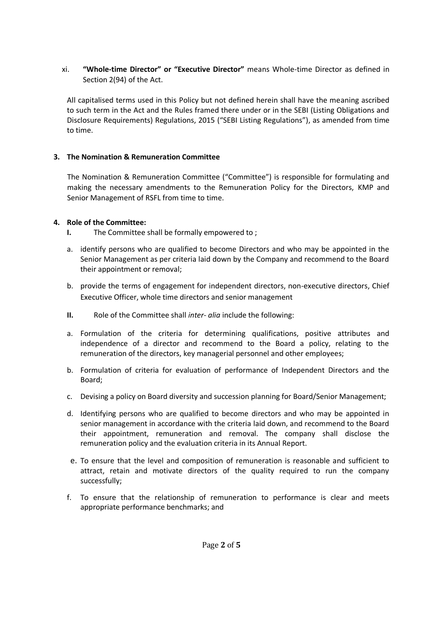xi. **"Whole-time Director" or "Executive Director"** means Whole-time Director as defined in Section 2(94) of the Act.

All capitalised terms used in this Policy but not defined herein shall have the meaning ascribed to such term in the Act and the Rules framed there under or in the SEBI (Listing Obligations and Disclosure Requirements) Regulations, 2015 ("SEBI Listing Regulations"), as amended from time to time.

### **3. The Nomination & Remuneration Committee**

The Nomination & Remuneration Committee ("Committee") is responsible for formulating and making the necessary amendments to the Remuneration Policy for the Directors, KMP and Senior Management of RSFL from time to time.

### **4. Role of the Committee:**

- **I.** The Committee shall be formally empowered to ;
- a. identify persons who are qualified to become Directors and who may be appointed in the Senior Management as per criteria laid down by the Company and recommend to the Board their appointment or removal;
- b. provide the terms of engagement for independent directors, non-executive directors, Chief Executive Officer, whole time directors and senior management
- **II.** Role of the Committee shall *inter- alia* include the following:
- a. Formulation of the criteria for determining qualifications, positive attributes and independence of a director and recommend to the Board a policy, relating to the remuneration of the directors, key managerial personnel and other employees;
- b. Formulation of criteria for evaluation of performance of Independent Directors and the Board;
- c. Devising a policy on Board diversity and succession planning for Board/Senior Management;
- d. Identifying persons who are qualified to become directors and who may be appointed in senior management in accordance with the criteria laid down, and recommend to the Board their appointment, remuneration and removal. The company shall disclose the remuneration policy and the evaluation criteria in its Annual Report.
- e. To ensure that the level and composition of remuneration is reasonable and sufficient to attract, retain and motivate directors of the quality required to run the company successfully;
- f. To ensure that the relationship of remuneration to performance is clear and meets appropriate performance benchmarks; and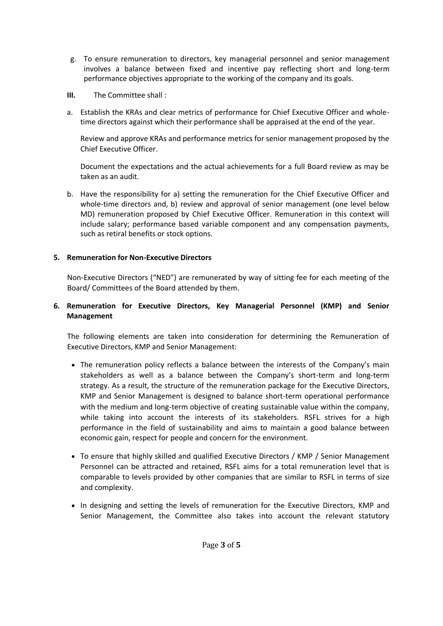- g. To ensure remuneration to directors, key managerial personnel and senior management involves a balance between fixed and incentive pay reflecting short and long-term performance objectives appropriate to the working of the company and its goals.
- **III.** The Committee shall :
- a. Establish the KRAs and clear metrics of performance for Chief Executive Officer and wholetime directors against which their performance shall be appraised at the end of the year.

Review and approve KRAs and performance metrics for senior management proposed by the Chief Executive Officer.

Document the expectations and the actual achievements for a full Board review as may be taken as an audit.

b. Have the responsibility for a) setting the remuneration for the Chief Executive Officer and whole-time directors and, b) review and approval of senior management (one level below MD) remuneration proposed by Chief Executive Officer. Remuneration in this context will include salary; performance based variable component and any compensation payments, such as retiral benefits or stock options.

# **5. Remuneration for Non-Executive Directors**

Non-Executive Directors ("NED") are remunerated by way of sitting fee for each meeting of the Board/ Committees of the Board attended by them.

### **6. Remuneration for Executive Directors, Key Managerial Personnel (KMP) and Senior Management**

The following elements are taken into consideration for determining the Remuneration of Executive Directors, KMP and Senior Management:

- The remuneration policy reflects a balance between the interests of the Company's main stakeholders as well as a balance between the Company's short-term and long-term strategy. As a result, the structure of the remuneration package for the Executive Directors, KMP and Senior Management is designed to balance short-term operational performance with the medium and long-term objective of creating sustainable value within the company, while taking into account the interests of its stakeholders. RSFL strives for a high performance in the field of sustainability and aims to maintain a good balance between economic gain, respect for people and concern for the environment.
- To ensure that highly skilled and qualified Executive Directors / KMP / Senior Management Personnel can be attracted and retained, RSFL aims for a total remuneration level that is comparable to levels provided by other companies that are similar to RSFL in terms of size and complexity.
- In designing and setting the levels of remuneration for the Executive Directors, KMP and Senior Management, the Committee also takes into account the relevant statutory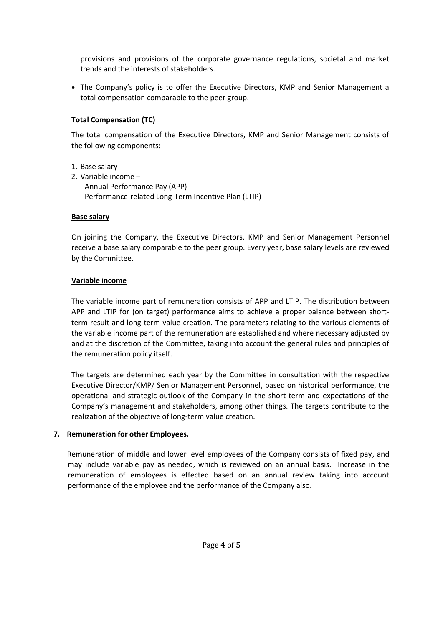provisions and provisions of the corporate governance regulations, societal and market trends and the interests of stakeholders.

• The Company's policy is to offer the Executive Directors, KMP and Senior Management a total compensation comparable to the peer group.

# **Total Compensation (TC)**

The total compensation of the Executive Directors, KMP and Senior Management consists of the following components:

- 1. Base salary
- 2. Variable income
	- Annual Performance Pay (APP)
	- Performance-related Long-Term Incentive Plan (LTIP)

### **Base salary**

On joining the Company, the Executive Directors, KMP and Senior Management Personnel receive a base salary comparable to the peer group. Every year, base salary levels are reviewed by the Committee.

#### **Variable income**

The variable income part of remuneration consists of APP and LTIP. The distribution between APP and LTIP for (on target) performance aims to achieve a proper balance between shortterm result and long-term value creation. The parameters relating to the various elements of the variable income part of the remuneration are established and where necessary adjusted by and at the discretion of the Committee, taking into account the general rules and principles of the remuneration policy itself.

The targets are determined each year by the Committee in consultation with the respective Executive Director/KMP/ Senior Management Personnel, based on historical performance, the operational and strategic outlook of the Company in the short term and expectations of the Company's management and stakeholders, among other things. The targets contribute to the realization of the objective of long-term value creation.

### **7. Remuneration for other Employees.**

Remuneration of middle and lower level employees of the Company consists of fixed pay, and may include variable pay as needed, which is reviewed on an annual basis. Increase in the remuneration of employees is effected based on an annual review taking into account performance of the employee and the performance of the Company also.